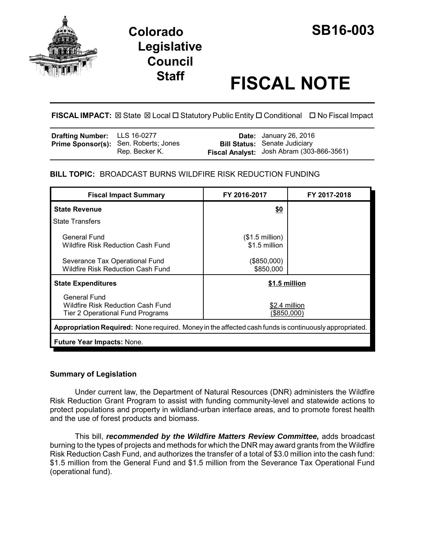

# **Staff FISCAL NOTE**

## **FISCAL IMPACT:** ⊠ State ⊠ Local □ Statutory Public Entity □ Conditional □ No Fiscal Impact

| <b>Drafting Number:</b> LLS 16-0277 |                                                                | <b>Date:</b> January 26, 2016                                                     |
|-------------------------------------|----------------------------------------------------------------|-----------------------------------------------------------------------------------|
|                                     | <b>Prime Sponsor(s):</b> Sen. Roberts; Jones<br>Rep. Becker K. | <b>Bill Status:</b> Senate Judiciary<br>Fiscal Analyst: Josh Abram (303-866-3561) |

## **BILL TOPIC:** BROADCAST BURNS WILDFIRE RISK REDUCTION FUNDING

| <b>Fiscal Impact Summary</b>                                                                          | FY 2016-2017                              | FY 2017-2018 |  |  |  |
|-------------------------------------------------------------------------------------------------------|-------------------------------------------|--------------|--|--|--|
| <b>State Revenue</b>                                                                                  | \$0                                       |              |  |  |  |
| <b>State Transfers</b>                                                                                |                                           |              |  |  |  |
| General Fund<br>Wildfire Risk Reduction Cash Fund                                                     | $($1.5 \text{ million})$<br>\$1.5 million |              |  |  |  |
| Severance Tax Operational Fund<br>Wildfire Risk Reduction Cash Fund                                   | $(\$850,000)$<br>\$850,000                |              |  |  |  |
| <b>State Expenditures</b>                                                                             | \$1.5 million                             |              |  |  |  |
| General Fund<br>Wildfire Risk Reduction Cash Fund<br>Tier 2 Operational Fund Programs                 | \$2.4 million<br>(\$850,000)              |              |  |  |  |
| Appropriation Required: None required. Money in the affected cash funds is continuously appropriated. |                                           |              |  |  |  |
| Future Year Impacts: None.                                                                            |                                           |              |  |  |  |

## **Summary of Legislation**

Under current law, the Department of Natural Resources (DNR) administers the Wildfire Risk Reduction Grant Program to assist with funding community-level and statewide actions to protect populations and property in wildland-urban interface areas, and to promote forest health and the use of forest products and biomass.

This bill, *recommended by the Wildfire Matters Review Committee,* adds broadcast burning to the types of projects and methods for which the DNR may award grants from the Wildfire Risk Reduction Cash Fund, and authorizes the transfer of a total of \$3.0 million into the cash fund: \$1.5 million from the General Fund and \$1.5 million from the Severance Tax Operational Fund (operational fund).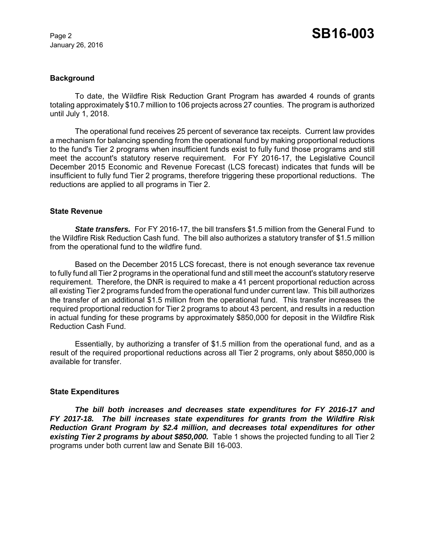#### **Background**

To date, the Wildfire Risk Reduction Grant Program has awarded 4 rounds of grants totaling approximately \$10.7 million to 106 projects across 27 counties. The program is authorized until July 1, 2018.

The operational fund receives 25 percent of severance tax receipts. Current law provides a mechanism for balancing spending from the operational fund by making proportional reductions to the fund's Tier 2 programs when insufficient funds exist to fully fund those programs and still meet the account's statutory reserve requirement. For FY 2016-17, the Legislative Council December 2015 Economic and Revenue Forecast (LCS forecast) indicates that funds will be insufficient to fully fund Tier 2 programs, therefore triggering these proportional reductions. The reductions are applied to all programs in Tier 2.

#### **State Revenue**

**State transfers.** For FY 2016-17, the bill transfers \$1.5 million from the General Fund to the Wildfire Risk Reduction Cash fund. The bill also authorizes a statutory transfer of \$1.5 million from the operational fund to the wildfire fund.

Based on the December 2015 LCS forecast, there is not enough severance tax revenue to fully fund all Tier 2 programs in the operational fund and still meet the account's statutory reserve requirement. Therefore, the DNR is required to make a 41 percent proportional reduction across all existing Tier 2 programs funded from the operational fund under current law. This bill authorizes the transfer of an additional \$1.5 million from the operational fund. This transfer increases the required proportional reduction for Tier 2 programs to about 43 percent, and results in a reduction in actual funding for these programs by approximately \$850,000 for deposit in the Wildfire Risk Reduction Cash Fund.

Essentially, by authorizing a transfer of \$1.5 million from the operational fund, and as a result of the required proportional reductions across all Tier 2 programs, only about \$850,000 is available for transfer.

#### **State Expenditures**

*The bill both increases and decreases state expenditures for FY 2016-17 and FY 2017-18. The bill increases state expenditures for grants from the Wildfire Risk Reduction Grant Program by \$2.4 million, and decreases total expenditures for other existing Tier 2 programs by about \$850,000.* Table 1 shows the projected funding to all Tier 2 programs under both current law and Senate Bill 16-003.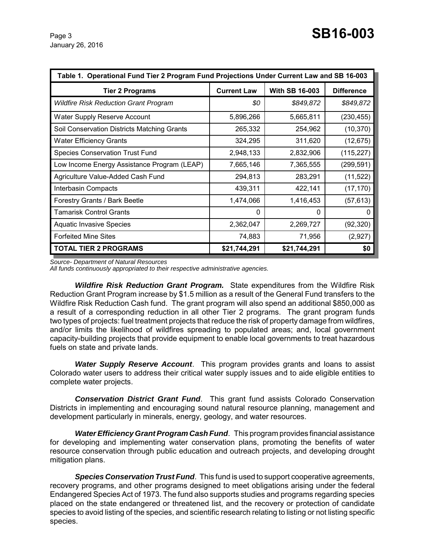| Table 1. Operational Fund Tier 2 Program Fund Projections Under Current Law and SB 16-003 |                    |                       |                   |  |  |
|-------------------------------------------------------------------------------------------|--------------------|-----------------------|-------------------|--|--|
| <b>Tier 2 Programs</b>                                                                    | <b>Current Law</b> | <b>With SB 16-003</b> | <b>Difference</b> |  |  |
| <b>Wildfire Risk Reduction Grant Program</b>                                              | \$0                | \$849,872             | \$849,872         |  |  |
| <b>Water Supply Reserve Account</b>                                                       | 5,896,266          | 5,665,811             | (230, 455)        |  |  |
| Soil Conservation Districts Matching Grants                                               | 265,332            | 254,962               | (10, 370)         |  |  |
| <b>Water Efficiency Grants</b>                                                            | 324,295            | 311,620               | (12, 675)         |  |  |
| <b>Species Conservation Trust Fund</b>                                                    | 2,948,133          | 2,832,906             | (115, 227)        |  |  |
| Low Income Energy Assistance Program (LEAP)                                               | 7,665,146          | 7,365,555             | (299, 591)        |  |  |
| Agriculture Value-Added Cash Fund                                                         | 294,813            | 283,291               | (11, 522)         |  |  |
| Interbasin Compacts                                                                       | 439,311            | 422,141               | (17, 170)         |  |  |
| Forestry Grants / Bark Beetle                                                             | 1,474,066          | 1,416,453             | (57, 613)         |  |  |
| <b>Tamarisk Control Grants</b>                                                            | 0                  | 0                     | O                 |  |  |
| <b>Aquatic Invasive Species</b>                                                           | 2,362,047          | 2,269,727             | (92, 320)         |  |  |
| <b>Forfeited Mine Sites</b>                                                               | 74,883             | 71,956                | (2,927)           |  |  |
| <b>TOTAL TIER 2 PROGRAMS</b>                                                              | \$21,744,291       | \$21,744,291          | \$0               |  |  |

*Source- Department of Natural Resources*

*All funds continuously appropriated to their respective administrative agencies.*

*Wildfire Risk Reduction Grant Program.* State expenditures from the Wildfire Risk Reduction Grant Program increase by \$1.5 million as a result of the General Fund transfers to the Wildfire Risk Reduction Cash fund. The grant program will also spend an additional \$850,000 as a result of a corresponding reduction in all other Tier 2 programs. The grant program funds two types of projects: fuel treatment projects that reduce the risk of property damage from wildfires, and/or limits the likelihood of wildfires spreading to populated areas; and, local government capacity-building projects that provide equipment to enable local governments to treat hazardous fuels on state and private lands.

*Water Supply Reserve Account*. This program provides grants and loans to assist Colorado water users to address their critical water supply issues and to aide eligible entities to complete water projects.

*Conservation District Grant Fund*. This grant fund assists Colorado Conservation Districts in implementing and encouraging sound natural resource planning, management and development particularly in minerals, energy, geology, and water resources.

*Water Efficiency Grant Program Cash Fund*. This program provides financial assistance for developing and implementing water conservation plans, promoting the benefits of water resource conservation through public education and outreach projects, and developing drought mitigation plans.

*Species Conservation Trust Fund*. This fund is used to support cooperative agreements, recovery programs, and other programs designed to meet obligations arising under the federal Endangered Species Act of 1973. The fund also supports studies and programs regarding species placed on the state endangered or threatened list, and the recovery or protection of candidate species to avoid listing of the species, and scientific research relating to listing or not listing specific species.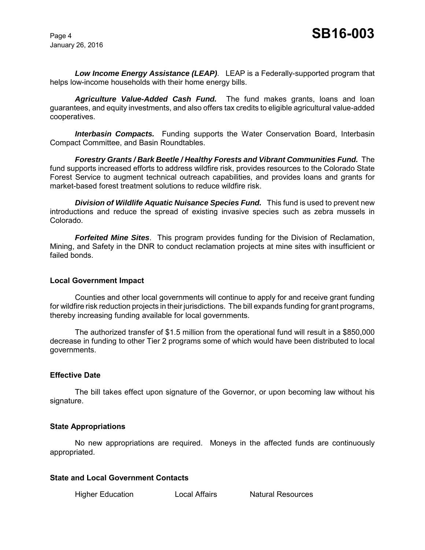*Low Income Energy Assistance (LEAP)*. LEAP is a Federally-supported program that helps low-income households with their home energy bills.

*Agriculture Value-Added Cash Fund.* The fund makes grants, loans and loan guarantees, and equity investments, and also offers tax credits to eligible agricultural value-added cooperatives.

*Interbasin Compacts.* Funding supports the Water Conservation Board, Interbasin Compact Committee, and Basin Roundtables.

*Forestry Grants / Bark Beetle / Healthy Forests and Vibrant Communities Fund.* The fund supports increased efforts to address wildfire risk, provides resources to the Colorado State Forest Service to augment technical outreach capabilities, and provides loans and grants for market-based forest treatment solutions to reduce wildfire risk.

**Division of Wildlife Aquatic Nuisance Species Fund.** This fund is used to prevent new introductions and reduce the spread of existing invasive species such as zebra mussels in Colorado.

*Forfeited Mine Sites*. This program provides funding for the Division of Reclamation, Mining, and Safety in the DNR to conduct reclamation projects at mine sites with insufficient or failed bonds.

#### **Local Government Impact**

Counties and other local governments will continue to apply for and receive grant funding for wildfire risk reduction projects in their jurisdictions. The bill expands funding for grant programs, thereby increasing funding available for local governments.

The authorized transfer of \$1.5 million from the operational fund will result in a \$850,000 decrease in funding to other Tier 2 programs some of which would have been distributed to local governments.

#### **Effective Date**

The bill takes effect upon signature of the Governor, or upon becoming law without his signature.

#### **State Appropriations**

No new appropriations are required. Moneys in the affected funds are continuously appropriated.

## **State and Local Government Contacts**

Higher Education **Local Affairs** Natural Resources